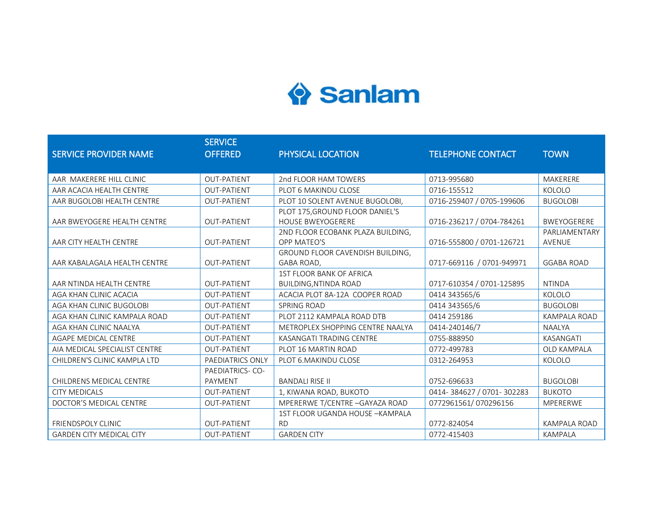## Sanlam

|                                 | <b>SERVICE</b>         |                                   |                           |                     |
|---------------------------------|------------------------|-----------------------------------|---------------------------|---------------------|
| <b>SERVICE PROVIDER NAME</b>    | <b>OFFERED</b>         | PHYSICAL LOCATION                 | <b>TELEPHONE CONTACT</b>  | <b>TOWN</b>         |
|                                 |                        |                                   |                           |                     |
| AAR MAKERERE HILL CLINIC        | <b>OUT-PATIENT</b>     | 2nd FLOOR HAM TOWERS              | 0713-995680               | MAKERERE            |
| AAR ACACIA HEALTH CENTRE        | <b>OUT-PATIENT</b>     | PLOT 6 MAKINDU CLOSE              | 0716-155512               | KOLOLO              |
| AAR BUGOLOBI HEALTH CENTRE      | <b>OUT-PATIENT</b>     | PLOT 10 SOLENT AVENUE BUGOLOBI,   | 0716-259407 / 0705-199606 | <b>BUGOLOBI</b>     |
|                                 |                        | PLOT 175, GROUND FLOOR DANIEL'S   |                           |                     |
| AAR BWEYOGERE HEALTH CENTRE     | <b>OUT-PATIENT</b>     | <b>HOUSE BWEYOGERERE</b>          | 0716-236217 / 0704-784261 | BWEYOGERERE         |
|                                 |                        | 2ND FLOOR ECOBANK PLAZA BUILDING, |                           | PARLIAMENTARY       |
| AAR CITY HEALTH CENTRE          | <b>OUT-PATIENT</b>     | OPP MATEO'S                       | 0716-555800 / 0701-126721 | <b>AVENUE</b>       |
|                                 |                        | GROUND FLOOR CAVENDISH BUILDING,  |                           |                     |
| AAR KABALAGALA HEALTH CENTRE    | <b>OUT-PATIENT</b>     | GABA ROAD,                        | 0717-669116 / 0701-949971 | <b>GGABA ROAD</b>   |
|                                 |                        | <b>1ST FLOOR BANK OF AFRICA</b>   |                           |                     |
| AAR NTINDA HEALTH CENTRE        | <b>OUT-PATIENT</b>     | <b>BUILDING, NTINDA ROAD</b>      | 0717-610354 / 0701-125895 | <b>NTINDA</b>       |
| AGA KHAN CLINIC ACACIA          | <b>OUT-PATIENT</b>     | ACACIA PLOT 8A-12A COOPER ROAD    | 0414 343565/6             | KOLOLO              |
| AGA KHAN CLINIC BUGOLOBI        | <b>OUT-PATIENT</b>     | SPRING ROAD                       | 0414 343565/6             | <b>BUGOLOBI</b>     |
| AGA KHAN CLINIC KAMPALA ROAD    | <b>OUT-PATIENT</b>     | PLOT 2112 KAMPALA ROAD DTB        | 0414 259186               | <b>KAMPALA ROAD</b> |
| AGA KHAN CLINIC NAALYA          | <b>OUT-PATIENT</b>     | METROPLEX SHOPPING CENTRE NAALYA  | 0414-240146/7             | <b>NAALYA</b>       |
| AGAPE MEDICAL CENTRE            | <b>OUT-PATIENT</b>     | KASANGATI TRADING CENTRE          | 0755-888950               | KASANGATI           |
| AIA MEDICAL SPECIALIST CENTRE   | <b>OUT-PATIENT</b>     | PLOT 16 MARTIN ROAD               | 0772-499783               | OLD KAMPALA         |
| CHILDREN'S CLINIC KAMPLA LTD    | PAEDIATRICS ONLY       | PLOT 6. MAKINDU CLOSE             | 0312-264953               | KOLOLO              |
|                                 | <b>PAEDIATRICS-CO-</b> |                                   |                           |                     |
| CHILDRENS MEDICAL CENTRE        | <b>PAYMENT</b>         | <b>BANDALI RISE II</b>            | 0752-696633               | <b>BUGOLOBI</b>     |
| <b>CITY MEDICALS</b>            | <b>OUT-PATIENT</b>     | 1, KIWANA ROAD, BUKOTO            | 0414-384627 / 0701-302283 | <b>BUKOTO</b>       |
| DOCTOR'S MEDICAL CENTRE         | <b>OUT-PATIENT</b>     | MPERERWE T/CENTRE - GAYAZA ROAD   | 0772961561/070296156      | MPERERWE            |
|                                 |                        | 1ST FLOOR UGANDA HOUSE - KAMPALA  |                           |                     |
| <b>FRIENDSPOLY CLINIC</b>       | <b>OUT-PATIENT</b>     | <b>RD</b>                         | 0772-824054               | <b>KAMPALA ROAD</b> |
| <b>GARDEN CITY MEDICAL CITY</b> | <b>OUT-PATIENT</b>     | <b>GARDEN CITY</b>                | 0772-415403               | <b>KAMPALA</b>      |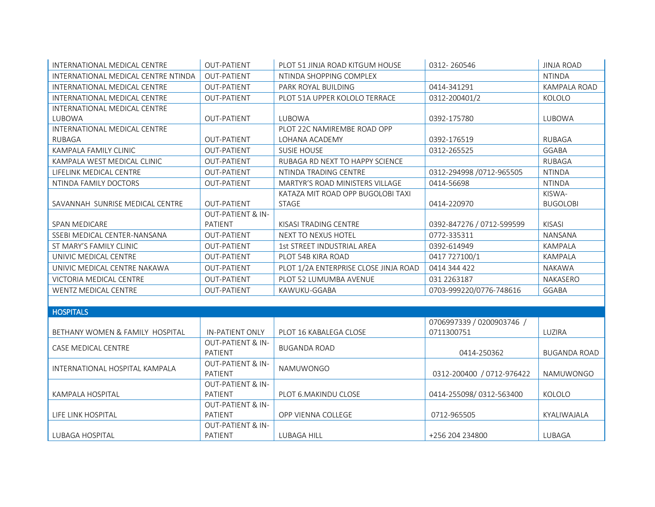| INTERNATIONAL MEDICAL CENTRE        | <b>OUT-PATIENT</b>           | PLOT 51 JINJA ROAD KITGUM HOUSE        | 0312-260546               | <b>JINJA ROAD</b> |
|-------------------------------------|------------------------------|----------------------------------------|---------------------------|-------------------|
| INTERNATIONAL MEDICAL CENTRE NTINDA | <b>OUT-PATIENT</b>           | NTINDA SHOPPING COMPLEX                |                           | <b>NTINDA</b>     |
| INTERNATIONAL MEDICAL CENTRE        | <b>OUT-PATIENT</b>           | PARK ROYAL BUILDING                    | 0414-341291               | KAMPALA ROAD      |
| INTERNATIONAL MEDICAL CENTRE        | <b>OUT-PATIENT</b>           | PLOT 51A UPPER KOLOLO TERRACE          | 0312-200401/2             | KOLOLO            |
| INTERNATIONAL MEDICAL CENTRE        |                              |                                        |                           |                   |
| LUBOWA                              | <b>OUT-PATIENT</b>           | LUBOWA                                 | 0392-175780               | LUBOWA            |
| INTERNATIONAL MEDICAL CENTRE        |                              | PLOT 22C NAMIREMBE ROAD OPP            |                           |                   |
| <b>RUBAGA</b>                       | <b>OUT-PATIENT</b>           | LOHANA ACADEMY                         | 0392-176519               | <b>RUBAGA</b>     |
| KAMPALA FAMILY CLINIC               | <b>OUT-PATIENT</b>           | <b>SUSIE HOUSE</b>                     | 0312-265525               | <b>GGABA</b>      |
| KAMPALA WEST MEDICAL CLINIC         | <b>OUT-PATIENT</b>           | RUBAGA RD NEXT TO HAPPY SCIENCE        |                           | <b>RUBAGA</b>     |
| LIFELINK MEDICAL CENTRE             | <b>OUT-PATIENT</b>           | NTINDA TRADING CENTRE                  | 0312-294998 /0712-965505  | <b>NTINDA</b>     |
| NTINDA FAMILY DOCTORS               | <b>OUT-PATIENT</b>           | <b>MARTYR'S ROAD MINISTERS VILLAGE</b> | 0414-56698                | <b>NTINDA</b>     |
|                                     |                              | KATAZA MIT ROAD OPP BUGOLOBI TAXI      |                           | KISWA-            |
| SAVANNAH SUNRISE MEDICAL CENTRE     | <b>OUT-PATIENT</b>           | STAGE                                  | 0414-220970               | <b>BUGOLOBI</b>   |
|                                     | <b>OUT-PATIENT &amp; IN-</b> |                                        |                           |                   |
| SPAN MEDICARE                       | PATIENT                      | KISASI TRADING CENTRE                  | 0392-847276 / 0712-599599 | <b>KISASI</b>     |
| SSEBI MEDICAL CENTER-NANSANA        | <b>OUT-PATIENT</b>           | NEXT TO NEXUS HOTEL                    | 0772-335311               | NANSANA           |
| ST MARY'S FAMILY CLINIC             | <b>OUT-PATIENT</b>           | 1st STREET INDUSTRIAL AREA             | 0392-614949               | <b>KAMPALA</b>    |
| UNIVIC MEDICAL CENTRE               | <b>OUT-PATIENT</b>           | PLOT 54B KIRA ROAD                     | 0417 727100/1             | KAMPALA           |
| UNIVIC MEDICAL CENTRE NAKAWA        | <b>OUT-PATIENT</b>           | PLOT 1/2A ENTERPRISE CLOSE JINJA ROAD  | 0414 344 422              | NAKAWA            |
| VICTORIA MEDICAL CENTRE             | <b>OUT-PATIENT</b>           | PLOT 52 LUMUMBA AVENUE                 | 031 2263187               | NAKASERO          |
| WENTZ MEDICAL CENTRE                | <b>OUT-PATIENT</b>           | KAWUKU-GGABA                           | 0703-999220/0776-748616   | <b>GGABA</b>      |
|                                     |                              |                                        |                           |                   |
| <b>HOSPITALS</b>                    |                              |                                        |                           |                   |
|                                     |                              |                                        | 0706997339 / 0200903746 / |                   |
| BETHANY WOMEN & FAMILY HOSPITAL     | IN-PATIENT ONLY              | PLOT 16 KABALEGA CLOSE                 | 0711300751                | LUZIRA            |
| CASE MEDICAL CENTRE                 | <b>OUT-PATIENT &amp; IN-</b> | <b>BUGANDA ROAD</b>                    |                           |                   |
|                                     | PATIENT                      |                                        | 0414-250362               | BUGANDA ROAD      |
| INTERNATIONAL HOSPITAL KAMPALA      | <b>OUT-PATIENT &amp; IN-</b> | NAMUWONGO                              |                           |                   |
|                                     | PATIENT                      |                                        | 0312-200400 / 0712-976422 | NAMUWONGO         |
|                                     | <b>OUT-PATIENT &amp; IN-</b> |                                        |                           |                   |
| <b>KAMPALA HOSPITAL</b>             | PATIENT                      | PLOT 6. MAKINDU CLOSE                  | 0414-255098/0312-563400   | KOLOLO            |
|                                     | <b>OUT-PATIENT &amp; IN-</b> |                                        |                           |                   |
| LIFE LINK HOSPITAL                  | PATIENT                      | OPP VIENNA COLLEGE                     | 0712-965505               | KYALIWAJALA       |
|                                     | <b>OUT-PATIENT &amp; IN-</b> |                                        |                           |                   |
| LUBAGA HOSPITAL                     | PATIENT                      | <b>LUBAGA HILL</b>                     | +256 204 234800           | LUBAGA            |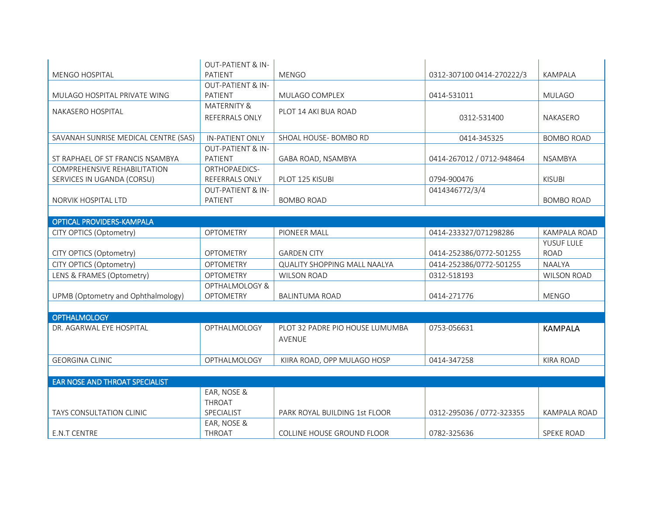|                                       | <b>OUT-PATIENT &amp; IN-</b> |                                     |                           |                     |
|---------------------------------------|------------------------------|-------------------------------------|---------------------------|---------------------|
| <b>MENGO HOSPITAL</b>                 | PATIENT                      | <b>MENGO</b>                        | 0312-307100 0414-270222/3 | <b>KAMPALA</b>      |
|                                       | <b>OUT-PATIENT &amp; IN-</b> |                                     |                           |                     |
| MULAGO HOSPITAL PRIVATE WING          | PATIENT                      | MULAGO COMPLEX                      | 0414-531011               | <b>MULAGO</b>       |
| <b>NAKASERO HOSPITAL</b>              | <b>MATERNITY &amp;</b>       | PLOT 14 AKI BUA ROAD                |                           |                     |
|                                       | <b>REFERRALS ONLY</b>        |                                     | 0312-531400               | <b>NAKASERO</b>     |
|                                       |                              |                                     |                           |                     |
| SAVANAH SUNRISE MEDICAL CENTRE (SAS)  | <b>IN-PATIENT ONLY</b>       | SHOAL HOUSE- BOMBO RD               | 0414-345325               | <b>BOMBO ROAD</b>   |
|                                       | <b>OUT-PATIENT &amp; IN-</b> |                                     |                           |                     |
| ST RAPHAEL OF ST FRANCIS NSAMBYA      | PATIENT                      | GABA ROAD, NSAMBYA                  | 0414-267012 / 0712-948464 | <b>NSAMBYA</b>      |
| COMPREHENSIVE REHABILITATION          | ORTHOPAEDICS-                |                                     |                           |                     |
| SERVICES IN UGANDA (CORSU)            | <b>REFERRALS ONLY</b>        | PLOT 125 KISUBI                     | 0794-900476               | <b>KISUBI</b>       |
|                                       | <b>OUT-PATIENT &amp; IN-</b> |                                     | 0414346772/3/4            |                     |
| NORVIK HOSPITAL LTD                   | PATIENT                      | <b>BOMBO ROAD</b>                   |                           | <b>BOMBO ROAD</b>   |
|                                       |                              |                                     |                           |                     |
| <b>OPTICAL PROVIDERS-KAMPALA</b>      |                              |                                     |                           |                     |
| CITY OPTICS (Optometry)               | <b>OPTOMETRY</b>             | PIONEER MALL                        | 0414-233327/071298286     | KAMPALA ROAD        |
|                                       |                              |                                     |                           | YUSUF LULE          |
| CITY OPTICS (Optometry)               | <b>OPTOMETRY</b>             | <b>GARDEN CITY</b>                  | 0414-252386/0772-501255   | <b>ROAD</b>         |
| CITY OPTICS (Optometry)               | <b>OPTOMETRY</b>             | <b>QUALITY SHOPPING MALL NAALYA</b> | 0414-252386/0772-501255   | <b>NAALYA</b>       |
| LENS & FRAMES (Optometry)             | <b>OPTOMETRY</b>             | <b>WILSON ROAD</b>                  | 0312-518193               | <b>WILSON ROAD</b>  |
|                                       | OPTHALMOLOGY &               |                                     |                           |                     |
| UPMB (Optometry and Ophthalmology)    | <b>OPTOMETRY</b>             | <b>BALINTUMA ROAD</b>               | 0414-271776               | <b>MENGO</b>        |
|                                       |                              |                                     |                           |                     |
| <b>OPTHALMOLOGY</b>                   |                              |                                     |                           |                     |
| DR. AGARWAL EYE HOSPITAL              | OPTHALMOLOGY                 | PLOT 32 PADRE PIO HOUSE LUMUMBA     | 0753-056631               | <b>KAMPALA</b>      |
|                                       |                              | AVENUE                              |                           |                     |
|                                       |                              |                                     |                           |                     |
| <b>GEORGINA CLINIC</b>                | <b>OPTHALMOLOGY</b>          | KIIRA ROAD, OPP MULAGO HOSP         | 0414-347258               | <b>KIRA ROAD</b>    |
|                                       |                              |                                     |                           |                     |
| <b>EAR NOSE AND THROAT SPECIALIST</b> |                              |                                     |                           |                     |
|                                       | EAR, NOSE &                  |                                     |                           |                     |
|                                       | THROAT                       |                                     |                           |                     |
| <b>TAYS CONSULTATION CLINIC</b>       | SPECIALIST                   | PARK ROYAL BUILDING 1st FLOOR       | 0312-295036 / 0772-323355 | <b>KAMPALA ROAD</b> |
|                                       | EAR, NOSE &                  |                                     |                           |                     |
| <b>E.N.T CENTRE</b>                   | THROAT                       | COLLINE HOUSE GROUND FLOOR          | 0782-325636               | <b>SPEKE ROAD</b>   |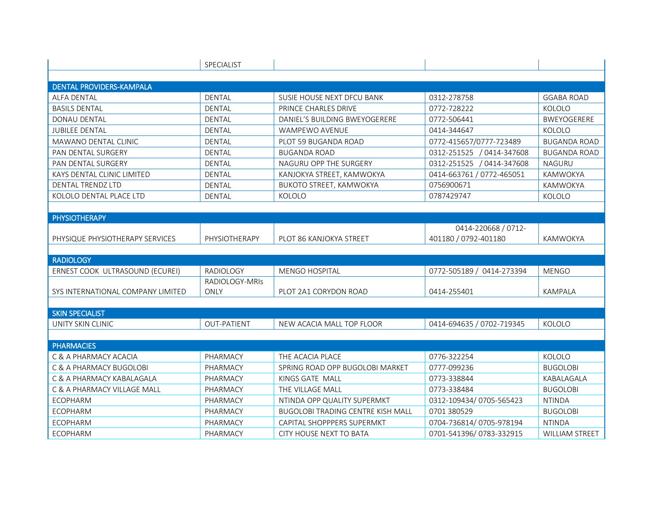|                                   | SPECIALIST         |                                          |                           |                     |
|-----------------------------------|--------------------|------------------------------------------|---------------------------|---------------------|
|                                   |                    |                                          |                           |                     |
| <b>DENTAL PROVIDERS-KAMPALA</b>   |                    |                                          |                           |                     |
| <b>ALFA DENTAL</b>                | <b>DENTAL</b>      | SUSIE HOUSE NEXT DFCU BANK               | 0312-278758               | <b>GGABA ROAD</b>   |
| <b>BASILS DENTAL</b>              | <b>DENTAL</b>      | PRINCE CHARLES DRIVE                     | 0772-728222               | KOLOLO              |
| <b>DONAU DENTAL</b>               | <b>DENTAL</b>      | DANIEL'S BUILDING BWEYOGERERE            | 0772-506441               | <b>BWEYOGERERE</b>  |
| <b>JUBILEE DENTAL</b>             | <b>DENTAL</b>      | WAMPEWO AVENUE                           | 0414-344647               | KOLOLO              |
| MAWANO DENTAL CLINIC              | <b>DENTAL</b>      | PLOT 59 BUGANDA ROAD                     | 0772-415657/0777-723489   | <b>BUGANDA ROAD</b> |
| PAN DENTAL SURGERY                | <b>DENTAL</b>      | <b>BUGANDA ROAD</b>                      | 0312-251525 / 0414-347608 | <b>BUGANDA ROAD</b> |
| PAN DENTAL SURGERY                | <b>DENTAL</b>      | NAGURU OPP THE SURGERY                   | 0312-251525 / 0414-347608 | <b>NAGURU</b>       |
| KAYS DENTAL CLINIC LIMITED        | <b>DENTAL</b>      | KANJOKYA STREET, KAMWOKYA                | 0414-663761 / 0772-465051 | KAMWOKYA            |
| DENTAL TRENDZ LTD                 | <b>DENTAL</b>      | BUKOTO STREET, KAMWOKYA                  | 0756900671                | KAMWOKYA            |
| KOLOLO DENTAL PLACE LTD           | <b>DENTAL</b>      | KOLOLO                                   | 0787429747                | KOLOLO              |
|                                   |                    |                                          |                           |                     |
| <b>PHYSIOTHERAPY</b>              |                    |                                          |                           |                     |
|                                   |                    |                                          | 0414-220668 / 0712-       |                     |
| PHYSIQUE PHYSIOTHERAPY SERVICES   | PHYSIOTHERAPY      | PLOT 86 KANJOKYA STREET                  | 401180 / 0792-401180      | KAMWOKYA            |
|                                   |                    |                                          |                           |                     |
| <b>RADIOLOGY</b>                  |                    |                                          |                           |                     |
| ERNEST COOK ULTRASOUND (ECUREI)   | <b>RADIOLOGY</b>   | <b>MENGO HOSPITAL</b>                    | 0772-505189 / 0414-273394 | <b>MENGO</b>        |
|                                   | RADIOLOGY-MRIS     |                                          |                           |                     |
| SYS INTERNATIONAL COMPANY LIMITED | <b>ONLY</b>        | PLOT 2A1 CORYDON ROAD                    | 0414-255401               | <b>KAMPALA</b>      |
|                                   |                    |                                          |                           |                     |
| <b>SKIN SPECIALIST</b>            |                    |                                          |                           |                     |
| UNITY SKIN CLINIC                 | <b>OUT-PATIENT</b> | NEW ACACIA MALL TOP FLOOR                | 0414-694635 / 0702-719345 | KOLOLO              |
|                                   |                    |                                          |                           |                     |
| <b>PHARMACIES</b>                 |                    |                                          |                           |                     |
| C & A PHARMACY ACACIA             | PHARMACY           | THE ACACIA PLACE                         | 0776-322254               | KOLOLO              |
| C & A PHARMACY BUGOLOBI           | PHARMACY           | SPRING ROAD OPP BUGOLOBI MARKET          | 0777-099236               | <b>BUGOLOBI</b>     |
| C & A PHARMACY KABALAGALA         | PHARMACY           | KINGS GATE MALL                          | 0773-338844               | KABALAGALA          |
| C & A PHARMACY VILLAGE MALL       | PHARMACY           | THE VILLAGE MALL                         | 0773-338484               | <b>BUGOLOBI</b>     |
| <b>ECOPHARM</b>                   | PHARMACY           | NTINDA OPP QUALITY SUPERMKT              | 0312-109434/0705-565423   | <b>NTINDA</b>       |
| <b>ECOPHARM</b>                   | PHARMACY           | <b>BUGOLOBI TRADING CENTRE KISH MALL</b> | 0701 380529               | <b>BUGOLOBI</b>     |
| <b>ECOPHARM</b>                   | PHARMACY           | CAPITAL SHOPPPERS SUPERMKT               | 0704-736814/0705-978194   | <b>NTINDA</b>       |
| <b>ECOPHARM</b>                   | PHARMACY           | CITY HOUSE NEXT TO BATA                  | 0701-541396/0783-332915   | WILLIAM STREET      |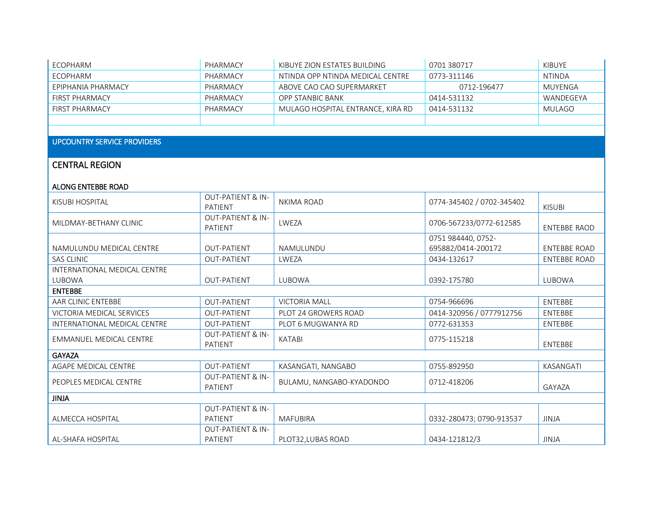| ECOPHARM              | PHARMACY | KIBUYE ZION ESTATES BUILDING      | 0701 380717 | KIBUYE        |
|-----------------------|----------|-----------------------------------|-------------|---------------|
| ECOPHARM              | PHARMACY | NTINDA OPP NTINDA MEDICAL CENTRE  | 0773-311146 | NTINDA        |
| EPIPHANIA PHARMACY    | PHARMACY | ABOVE CAO CAO SUPERMARKET         | 0712-196477 | MUYENGA       |
| <b>FIRST PHARMACY</b> | PHARMACY | OPP STANBIC BANK                  | 0414-531132 | WANDEGEYA     |
| <b>FIRST PHARMACY</b> | PHARMACY | MULAGO HOSPITAL ENTRANCE, KIRA RD | 0414-531132 | <b>MULAGO</b> |
|                       |          |                                   |             |               |

## UPCOUNTRY SERVICE PROVIDERS

## CENTRAL REGION

## ALONG ENTEBBE ROAD

| KISUBI HOSPITAL              | <b>OUT-PATIENT &amp; IN-</b><br>PATIENT | <b>NKIMA ROAD</b>        | 0774-345402 / 0702-345402 | <b>KISUBI</b>       |  |  |
|------------------------------|-----------------------------------------|--------------------------|---------------------------|---------------------|--|--|
| MILDMAY-BETHANY CLINIC       | <b>OUT-PATIENT &amp; IN-</b><br>PATIENT | LWEZA                    | 0706-567233/0772-612585   | ENTEBBE RAOD        |  |  |
|                              |                                         |                          | 0751 984440, 0752-        |                     |  |  |
| NAMULUNDU MEDICAL CENTRE     | <b>OUT-PATIENT</b>                      | NAMULUNDU                | 695882/0414-200172        | <b>ENTEBBE ROAD</b> |  |  |
| <b>SAS CLINIC</b>            | <b>OUT-PATIENT</b>                      | LWEZA                    | 0434-132617               | <b>ENTEBBE ROAD</b> |  |  |
| INTERNATIONAL MEDICAL CENTRE |                                         |                          |                           |                     |  |  |
| LUBOWA                       | <b>OUT-PATIENT</b>                      | LUBOWA                   | 0392-175780               | LUBOWA              |  |  |
| <b>ENTEBBE</b>               |                                         |                          |                           |                     |  |  |
| AAR CLINIC ENTEBBE           | <b>OUT-PATIENT</b>                      | <b>VICTORIA MALL</b>     | 0754-966696               | ENTEBBE             |  |  |
| VICTORIA MEDICAL SERVICES    | <b>OUT-PATIENT</b>                      | PLOT 24 GROWERS ROAD     | 0414-320956 / 0777912756  | <b>ENTEBBE</b>      |  |  |
| INTERNATIONAL MEDICAL CENTRE | <b>OUT-PATIENT</b>                      | PLOT 6 MUGWANYA RD       | 0772-631353               | <b>ENTEBBE</b>      |  |  |
| EMMANUEL MEDICAL CENTRE      | <b>OUT-PATIENT &amp; IN-</b><br>PATIENT | <b>KATABI</b>            | 0775-115218               | <b>ENTEBBE</b>      |  |  |
| <b>GAYAZA</b>                |                                         |                          |                           |                     |  |  |
| AGAPE MEDICAL CENTRE         | OUT-PATIENT                             | KASANGATI, NANGABO       | 0755-892950               | KASANGATI           |  |  |
| PEOPLES MEDICAL CENTRE       | <b>OUT-PATIENT &amp; IN-</b><br>PATIENT | BULAMU, NANGABO-KYADONDO | 0712-418206               | <b>GAYAZA</b>       |  |  |
| <b>JINJA</b>                 |                                         |                          |                           |                     |  |  |
|                              | <b>OUT-PATIENT &amp; IN-</b>            |                          |                           |                     |  |  |
| ALMECCA HOSPITAL             | PATIENT                                 | <b>MAFUBIRA</b>          | 0332-280473; 0790-913537  | <b>JINJA</b>        |  |  |
|                              | <b>OUT-PATIENT &amp; IN-</b>            |                          |                           |                     |  |  |
| AL-SHAFA HOSPITAL            | PATIENT                                 | PLOT32, LUBAS ROAD       | 0434-121812/3             | <b>JINJA</b>        |  |  |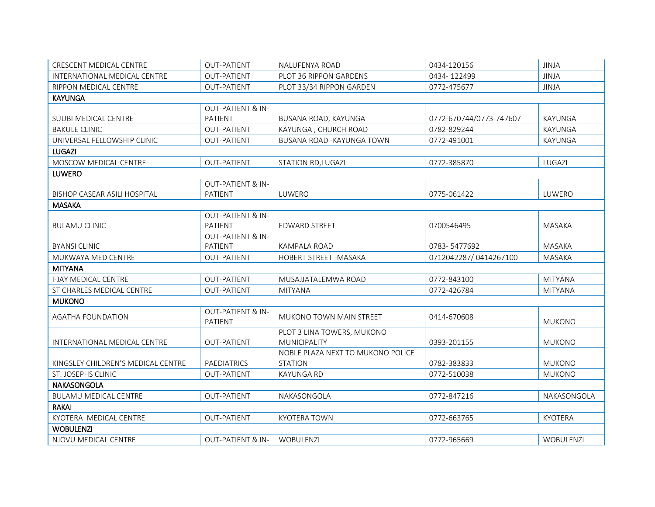| CRESCENT MEDICAL CENTRE             | <b>OUT-PATIENT</b>                      | NALUFENYA ROAD                    | 0434-120156             | <b>JINJA</b>   |
|-------------------------------------|-----------------------------------------|-----------------------------------|-------------------------|----------------|
| INTERNATIONAL MEDICAL CENTRE        | <b>OUT-PATIENT</b>                      | PLOT 36 RIPPON GARDENS            | 0434-122499             | <b>JINJA</b>   |
| RIPPON MEDICAL CENTRE               | <b>OUT-PATIENT</b>                      | PLOT 33/34 RIPPON GARDEN          | 0772-475677             | <b>JINJA</b>   |
| <b>KAYUNGA</b>                      |                                         |                                   |                         |                |
|                                     | <b>OUT-PATIENT &amp; IN-</b>            |                                   |                         |                |
| <b>SUUBI MEDICAL CENTRE</b>         | PATIENT                                 | BUSANA ROAD, KAYUNGA              | 0772-670744/0773-747607 | KAYUNGA        |
| <b>BAKULE CLINIC</b>                | <b>OUT-PATIENT</b>                      | KAYUNGA, CHURCH ROAD              | 0782-829244             | KAYUNGA        |
| UNIVERSAL FELLOWSHIP CLINIC         | <b>OUT-PATIENT</b>                      | BUSANA ROAD - KAYUNGA TOWN        | 0772-491001             | KAYUNGA        |
| <b>LUGAZI</b>                       |                                         |                                   |                         |                |
| MOSCOW MEDICAL CENTRE               | <b>OUT-PATIENT</b>                      | STATION RD, LUGAZI                | 0772-385870             | LUGAZI         |
| <b>LUWERO</b>                       |                                         |                                   |                         |                |
|                                     | <b>OUT-PATIENT &amp; IN-</b>            |                                   |                         |                |
| <b>BISHOP CASEAR ASILI HOSPITAL</b> | PATIENT                                 | LUWERO                            | 0775-061422             | LUWERO         |
| <b>MASAKA</b>                       |                                         |                                   |                         |                |
|                                     | <b>OUT-PATIENT &amp; IN-</b>            |                                   |                         |                |
| <b>BULAMU CLINIC</b>                | PATIENT                                 | <b>EDWARD STREET</b>              | 0700546495              | MASAKA         |
|                                     | <b>OUT-PATIENT &amp; IN-</b>            |                                   |                         |                |
| <b>BYANSI CLINIC</b>                | PATIENT                                 | KAMPALA ROAD                      | 0783-5477692            | MASAKA         |
| MUKWAYA MED CENTRE                  | OUT-PATIENT                             | HOBERT STREET - MASAKA            | 0712042287/0414267100   | MASAKA         |
| <b>MITYANA</b>                      |                                         |                                   |                         |                |
| <b>I-JAY MEDICAL CENTRE</b>         | <b>OUT-PATIENT</b>                      | MUSAJJATALEMWA ROAD               | 0772-843100             | <b>MITYANA</b> |
| ST CHARLES MEDICAL CENTRE           | <b>OUT-PATIENT</b>                      | <b>MITYANA</b>                    | 0772-426784             | <b>MITYANA</b> |
| <b>MUKONO</b>                       |                                         |                                   |                         |                |
| <b>AGATHA FOUNDATION</b>            | <b>OUT-PATIENT &amp; IN-</b><br>PATIENT | <b>MUKONO TOWN MAIN STREET</b>    | 0414-670608             | <b>MUKONO</b>  |
|                                     |                                         | PLOT 3 LINA TOWERS, MUKONO        |                         |                |
| INTERNATIONAL MEDICAL CENTRE        | <b>OUT-PATIENT</b>                      | MUNICIPALITY                      | 0393-201155             | <b>MUKONO</b>  |
|                                     |                                         | NOBLE PLAZA NEXT TO MUKONO POLICE |                         |                |
| KINGSLEY CHILDREN'S MEDICAL CENTRE  | PAEDIATRICS                             | <b>STATION</b>                    | 0782-383833             | <b>MUKONO</b>  |
| ST. JOSEPHS CLINIC                  | <b>OUT-PATIENT</b>                      | <b>KAYUNGA RD</b>                 | 0772-510038             | <b>MUKONO</b>  |
| <b>NAKASONGOLA</b>                  |                                         |                                   |                         |                |
| BULAMU MEDICAL CENTRE               | <b>OUT-PATIENT</b>                      | NAKASONGOLA                       | 0772-847216             | NAKASONGOLA    |
| <b>RAKAI</b>                        |                                         |                                   |                         |                |
| KYOTERA MEDICAL CENTRE              | <b>OUT-PATIENT</b>                      | <b>KYOTERA TOWN</b>               | 0772-663765             | <b>KYOTERA</b> |
| <b>WOBULENZI</b>                    |                                         |                                   |                         |                |
| NJOVU MEDICAL CENTRE                | <b>OUT-PATIENT &amp; IN-</b>            | <b>WOBULENZI</b>                  | 0772-965669             | WOBULENZI      |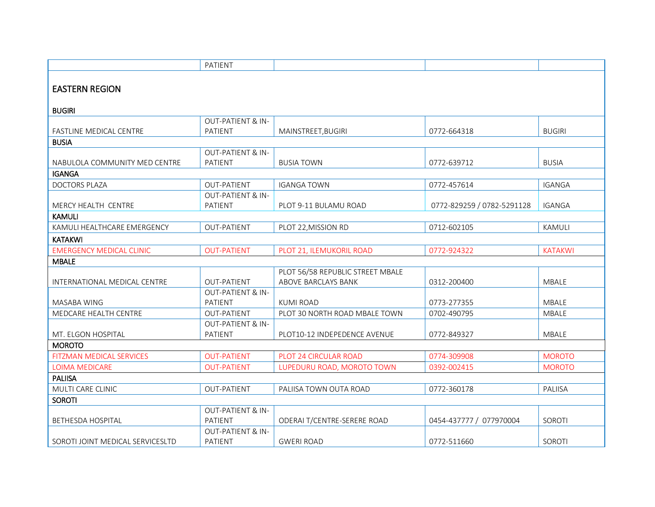|                                  | PATIENT                      |                                  |                            |                |
|----------------------------------|------------------------------|----------------------------------|----------------------------|----------------|
|                                  |                              |                                  |                            |                |
| <b>EASTERN REGION</b>            |                              |                                  |                            |                |
|                                  |                              |                                  |                            |                |
| <b>BUGIRI</b>                    |                              |                                  |                            |                |
|                                  | <b>OUT-PATIENT &amp; IN-</b> |                                  |                            |                |
| <b>FASTLINE MEDICAL CENTRE</b>   | PATIENT                      | MAINSTREET, BUGIRI               | 0772-664318                | <b>BUGIRI</b>  |
| <b>BUSIA</b>                     |                              |                                  |                            |                |
|                                  | <b>OUT-PATIENT &amp; IN-</b> |                                  |                            |                |
| NABULOLA COMMUNITY MED CENTRE    | <b>PATIENT</b>               | <b>BUSIA TOWN</b>                | 0772-639712                | <b>BUSIA</b>   |
| <b>IGANGA</b>                    |                              |                                  |                            |                |
| <b>DOCTORS PLAZA</b>             | OUT-PATIENT                  | <b>IGANGA TOWN</b>               | 0772-457614                | <b>IGANGA</b>  |
|                                  | <b>OUT-PATIENT &amp; IN-</b> |                                  |                            |                |
| MERCY HEALTH CENTRE              | PATIENT                      | PLOT 9-11 BULAMU ROAD            | 0772-829259 / 0782-5291128 | <b>IGANGA</b>  |
| <b>KAMULI</b>                    |                              |                                  |                            |                |
| KAMULI HEALTHCARE EMERGENCY      | <b>OUT-PATIENT</b>           | PLOT 22, MISSION RD              | 0712-602105                | <b>KAMULI</b>  |
| <b>KATAKWI</b>                   |                              |                                  |                            |                |
| <b>EMERGENCY MEDICAL CLINIC</b>  | <b>OUT-PATIENT</b>           | PLOT 21, ILEMUKORIL ROAD         | 0772-924322                | <b>KATAKWI</b> |
| <b>MBALE</b>                     |                              |                                  |                            |                |
|                                  |                              | PLOT 56/58 REPUBLIC STREET MBALE |                            |                |
| INTERNATIONAL MEDICAL CENTRE     | <b>OUT-PATIENT</b>           | ABOVE BARCLAYS BANK              | 0312-200400                | <b>MBALE</b>   |
|                                  | <b>OUT-PATIENT &amp; IN-</b> |                                  |                            |                |
| MASABA WING                      | PATIENT                      | <b>KUMI ROAD</b>                 | 0773-277355                | <b>MBALE</b>   |
| <b>MEDCARE HEALTH CENTRE</b>     | <b>OUT-PATIENT</b>           | PLOT 30 NORTH ROAD MBALE TOWN    | 0702-490795                | <b>MBALE</b>   |
|                                  | <b>OUT-PATIENT &amp; IN-</b> |                                  |                            |                |
| MT. ELGON HOSPITAL               | PATIENT                      | PLOT10-12 INDEPEDENCE AVENUE     | 0772-849327                | MBALE          |
| <b>MOROTO</b>                    |                              |                                  |                            |                |
| <b>FITZMAN MEDICAL SERVICES</b>  | <b>OUT-PATIENT</b>           | PLOT 24 CIRCULAR ROAD            | 0774-309908                | <b>MOROTO</b>  |
| LOIMA MEDICARE                   | <b>OUT-PATIENT</b>           | LUPEDURU ROAD, MOROTO TOWN       | 0392-002415                | <b>MOROTO</b>  |
| <b>PALIISA</b>                   |                              |                                  |                            |                |
| MULTI CARE CLINIC                | <b>OUT-PATIENT</b>           | PALIISA TOWN OUTA ROAD           | 0772-360178                | PALIISA        |
| <b>SOROTI</b>                    |                              |                                  |                            |                |
|                                  | <b>OUT-PATIENT &amp; IN-</b> |                                  |                            |                |
| <b>BETHESDA HOSPITAL</b>         | PATIENT                      | ODERAI T/CENTRE-SERERE ROAD      | 0454-437777 / 077970004    | SOROTI         |
|                                  | <b>OUT-PATIENT &amp; IN-</b> |                                  |                            |                |
| SOROTI JOINT MEDICAL SERVICESLTD | <b>PATIENT</b>               | <b>GWERI ROAD</b>                | 0772-511660                | SOROTI         |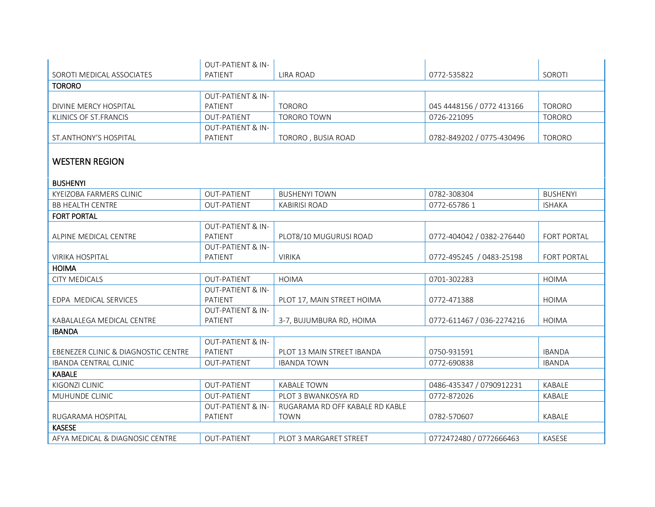|                                     | <b>OUT-PATIENT &amp; IN-</b> |                                 |                           |                 |
|-------------------------------------|------------------------------|---------------------------------|---------------------------|-----------------|
| SOROTI MEDICAL ASSOCIATES           | PATIENT                      | <b>LIRA ROAD</b>                | 0772-535822               | SOROTI          |
| <b>TORORO</b>                       |                              |                                 |                           |                 |
|                                     | <b>OUT-PATIENT &amp; IN-</b> |                                 |                           |                 |
| DIVINE MERCY HOSPITAL               | <b>PATIENT</b>               | <b>TORORO</b>                   | 045 4448156 / 0772 413166 | <b>TORORO</b>   |
| KLINICS OF ST.FRANCIS               | <b>OUT-PATIENT</b>           | <b>TORORO TOWN</b>              | 0726-221095               | <b>TORORO</b>   |
|                                     | <b>OUT-PATIENT &amp; IN-</b> |                                 |                           |                 |
| ST.ANTHONY'S HOSPITAL               | PATIENT                      | TORORO, BUSIA ROAD              | 0782-849202 / 0775-430496 | <b>TORORO</b>   |
| <b>WESTERN REGION</b>               |                              |                                 |                           |                 |
| <b>BUSHENYI</b>                     |                              |                                 |                           |                 |
| KYEIZOBA FARMERS CLINIC             | OUT-PATIENT                  | <b>BUSHENYI TOWN</b>            | 0782-308304               | <b>BUSHENYI</b> |
| <b>BB HEALTH CENTRE</b>             | <b>OUT-PATIENT</b>           | <b>KABIRISI ROAD</b>            | 0772-65786 1              | <b>ISHAKA</b>   |
| <b>FORT PORTAL</b>                  |                              |                                 |                           |                 |
|                                     | <b>OUT-PATIENT &amp; IN-</b> |                                 |                           |                 |
| ALPINE MEDICAL CENTRE               | PATIENT                      | PLOT8/10 MUGURUSI ROAD          | 0772-404042 / 0382-276440 | FORT PORTAL     |
|                                     | <b>OUT-PATIENT &amp; IN-</b> |                                 |                           |                 |
| <b>VIRIKA HOSPITAL</b>              | PATIENT                      | <b>VIRIKA</b>                   | 0772-495245 / 0483-25198  | FORT PORTAL     |
| <b>HOIMA</b>                        |                              |                                 |                           |                 |
| <b>CITY MEDICALS</b>                | OUT-PATIENT                  | <b>HOIMA</b>                    | 0701-302283               | <b>HOIMA</b>    |
|                                     | <b>OUT-PATIENT &amp; IN-</b> |                                 |                           |                 |
| EDPA MEDICAL SERVICES               | PATIENT                      | PLOT 17, MAIN STREET HOIMA      | 0772-471388               | <b>HOIMA</b>    |
|                                     | <b>OUT-PATIENT &amp; IN-</b> |                                 |                           |                 |
| KABALALEGA MEDICAL CENTRE           | PATIENT                      | 3-7, BUJUMBURA RD, HOIMA        | 0772-611467 / 036-2274216 | <b>HOIMA</b>    |
| <b>IBANDA</b>                       |                              |                                 |                           |                 |
|                                     | <b>OUT-PATIENT &amp; IN-</b> |                                 |                           |                 |
| EBENEZER CLINIC & DIAGNOSTIC CENTRE | PATIENT                      | PLOT 13 MAIN STREET IBANDA      | 0750-931591               | <b>IBANDA</b>   |
| <b>IBANDA CENTRAL CLINIC</b>        | <b>OUT-PATIENT</b>           | <b>IBANDA TOWN</b>              | 0772-690838               | <b>IBANDA</b>   |
| <b>KABALE</b>                       |                              |                                 |                           |                 |
| KIGONZI CLINIC                      | <b>OUT-PATIENT</b>           | <b>KABALE TOWN</b>              | 0486-435347 / 0790912231  | <b>KABALE</b>   |
| MUHUNDE CLINIC                      | <b>OUT-PATIENT</b>           | PLOT 3 BWANKOSYA RD             | 0772-872026               | KABALE          |
|                                     | <b>OUT-PATIENT &amp; IN-</b> | RUGARAMA RD OFF KABALE RD KABLE |                           |                 |
| RUGARAMA HOSPITAL                   | PATIENT                      | <b>TOWN</b>                     | 0782-570607               | <b>KABALE</b>   |
| <b>KASESE</b>                       |                              |                                 |                           |                 |
| AFYA MEDICAL & DIAGNOSIC CENTRE     | <b>OUT-PATIENT</b>           | PLOT 3 MARGARET STREET          | 0772472480 / 0772666463   | KASESE          |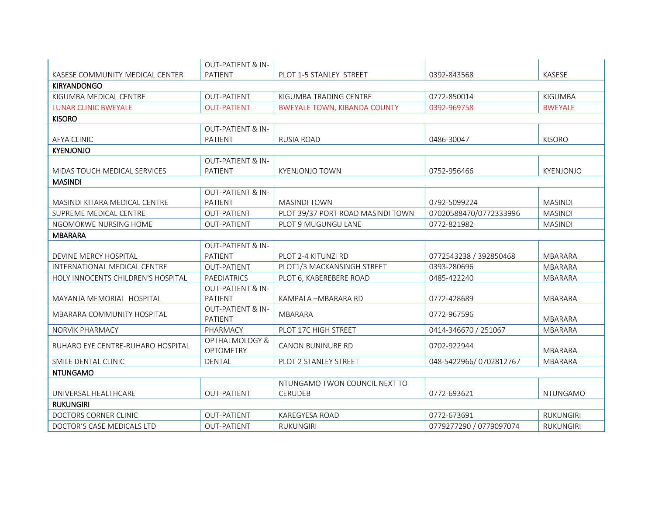|                                    | <b>OUT-PATIENT &amp; IN-</b>            |                                     |                         |                  |
|------------------------------------|-----------------------------------------|-------------------------------------|-------------------------|------------------|
| KASESE COMMUNITY MEDICAL CENTER    | PATIENT                                 | PLOT 1-5 STANLEY STREET             | 0392-843568             | KASESE           |
| <b>KIRYANDONGO</b>                 |                                         |                                     |                         |                  |
| KIGUMBA MEDICAL CENTRE             | <b>OUT-PATIENT</b>                      | KIGUMBA TRADING CENTRE              | 0772-850014             | <b>KIGUMBA</b>   |
| <b>LUNAR CLINIC BWEYALE</b>        | <b>OUT-PATIENT</b>                      | <b>BWEYALE TOWN, KIBANDA COUNTY</b> | 0392-969758             | <b>BWEYALE</b>   |
| <b>KISORO</b>                      |                                         |                                     |                         |                  |
|                                    | <b>OUT-PATIENT &amp; IN-</b>            |                                     |                         |                  |
| <b>AFYA CLINIC</b>                 | PATIENT                                 | <b>RUSIA ROAD</b>                   | 0486-30047              | <b>KISORO</b>    |
| <b>KYENJONJO</b>                   |                                         |                                     |                         |                  |
|                                    | <b>OUT-PATIENT &amp; IN-</b>            |                                     |                         |                  |
| MIDAS TOUCH MEDICAL SERVICES       | PATIENT                                 | <b>KYENJONJO TOWN</b>               | 0752-956466             | KYENJONJO        |
| <b>MASINDI</b>                     |                                         |                                     |                         |                  |
|                                    | <b>OUT-PATIENT &amp; IN-</b>            |                                     |                         |                  |
| MASINDI KITARA MEDICAL CENTRE      | PATIENT                                 | <b>MASINDI TOWN</b>                 | 0792-5099224            | <b>MASINDI</b>   |
| SUPREME MEDICAL CENTRE             | <b>OUT-PATIENT</b>                      | PLOT 39/37 PORT ROAD MASINDI TOWN   | 07020588470/0772333996  | <b>MASINDI</b>   |
| NGOMOKWE NURSING HOME              | <b>OUT-PATIENT</b>                      | PLOT 9 MUGUNGU LANE                 | 0772-821982             | <b>MASINDI</b>   |
| <b>MBARARA</b>                     |                                         |                                     |                         |                  |
|                                    | <b>OUT-PATIENT &amp; IN-</b>            |                                     |                         |                  |
| DEVINE MERCY HOSPITAL              | PATIENT                                 | PLOT 2-4 KITUNZI RD                 | 0772543238 / 392850468  | <b>MBARARA</b>   |
| INTERNATIONAL MEDICAL CENTRE       | <b>OUT-PATIENT</b>                      | PLOT1/3 MACKANSINGH STREET          | 0393-280696             | <b>MBARARA</b>   |
| HOLY INNOCENTS CHILDREN'S HOSPITAL | PAEDIATRICS                             | PLOT 6, KABEREBERE ROAD             | 0485-422240             | MBARARA          |
|                                    | <b>OUT-PATIENT &amp; IN-</b>            |                                     |                         |                  |
| MAYANJA MEMORIAL HOSPITAL          | PATIENT                                 | KAMPALA - MBARARA RD                | 0772-428689             | MBARARA          |
| MBARARA COMMUNITY HOSPITAL         | <b>OUT-PATIENT &amp; IN-</b><br>PATIENT | <b>MBARARA</b>                      | 0772-967596             | <b>MBARARA</b>   |
| <b>NORVIK PHARMACY</b>             | PHARMACY                                | PLOT 17C HIGH STREET                | 0414-346670 / 251067    | MBARARA          |
| RUHARO EYE CENTRE-RUHARO HOSPITAL  | OPTHALMOLOGY &<br><b>OPTOMETRY</b>      | CANON BUNINURE RD                   | 0702-922944             | <b>MBARARA</b>   |
| SMILE DENTAL CLINIC                | <b>DENTAL</b>                           | PLOT 2 STANLEY STREET               | 048-5422966/0702812767  | <b>MBARARA</b>   |
| <b>NTUNGAMO</b>                    |                                         |                                     |                         |                  |
|                                    |                                         | NTUNGAMO TWON COUNCIL NEXT TO       |                         |                  |
| UNIVERSAL HEALTHCARE               | <b>OUT-PATIENT</b>                      | <b>CERUDEB</b>                      | 0772-693621             | <b>NTUNGAMO</b>  |
| <b>RUKUNGIRI</b>                   |                                         |                                     |                         |                  |
| DOCTORS CORNER CLINIC              | <b>OUT-PATIENT</b>                      | <b>KAREGYESA ROAD</b>               | 0772-673691             | <b>RUKUNGIRI</b> |
| DOCTOR'S CASE MEDICALS LTD         | <b>OUT-PATIENT</b>                      | <b>RUKUNGIRI</b>                    | 0779277290 / 0779097074 | <b>RUKUNGIRI</b> |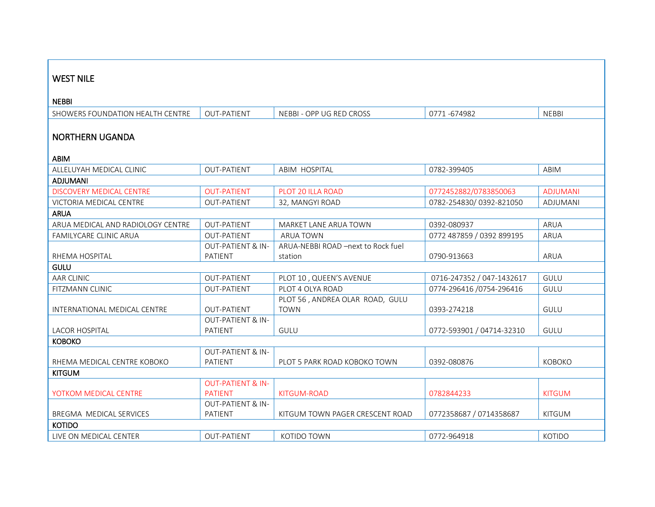| <b>WEST NILE</b>                  |                              |                                    |                           |                 |
|-----------------------------------|------------------------------|------------------------------------|---------------------------|-----------------|
|                                   |                              |                                    |                           |                 |
| <b>NEBBI</b>                      |                              |                                    |                           |                 |
| SHOWERS FOUNDATION HEALTH CENTRE  | <b>OUT-PATIENT</b>           | NEBBI - OPP UG RED CROSS           | 0771-674982               | <b>NEBBI</b>    |
|                                   |                              |                                    |                           |                 |
| <b>NORTHERN UGANDA</b>            |                              |                                    |                           |                 |
|                                   |                              |                                    |                           |                 |
| ABIM                              |                              |                                    |                           |                 |
| ALLELUYAH MEDICAL CLINIC          | <b>OUT-PATIENT</b>           | ABIM HOSPITAL                      | 0782-399405               | ABIM            |
| <b>ADJUMANI</b>                   |                              |                                    |                           |                 |
| <b>DISCOVERY MEDICAL CENTRE</b>   | <b>OUT-PATIENT</b>           | PLOT 20 ILLA ROAD                  | 0772452882/0783850063     | <b>ADJUMANI</b> |
| <b>VICTORIA MEDICAL CENTRE</b>    | <b>OUT-PATIENT</b>           | 32, MANGYI ROAD                    | 0782-254830/0392-821050   | <b>ADJUMANI</b> |
| <b>ARUA</b>                       |                              |                                    |                           |                 |
| ARUA MEDICAL AND RADIOLOGY CENTRE | <b>OUT-PATIENT</b>           | MARKET LANE ARUA TOWN              | 0392-080937               | ARUA            |
| <b>FAMILYCARE CLINIC ARUA</b>     | <b>OUT-PATIENT</b>           | <b>ARUA TOWN</b>                   | 0772 487859 / 0392 899195 | ARUA            |
|                                   | <b>OUT-PATIENT &amp; IN-</b> | ARUA-NEBBI ROAD -next to Rock fuel |                           |                 |
| RHEMA HOSPITAL                    | PATIENT                      | station                            | 0790-913663               | ARUA            |
| <b>GULU</b>                       |                              |                                    |                           |                 |
| <b>AAR CLINIC</b>                 | <b>OUT-PATIENT</b>           | PLOT 10, QUEEN'S AVENUE            | 0716-247352 / 047-1432617 | GULU            |
| <b>FITZMANN CLINIC</b>            | <b>OUT-PATIENT</b>           | PLOT 4 OLYA ROAD                   | 0774-296416 /0754-296416  | GULU            |
|                                   |                              | PLOT 56, ANDREA OLAR ROAD, GULU    |                           |                 |
| INTERNATIONAL MEDICAL CENTRE      | <b>OUT-PATIENT</b>           | <b>TOWN</b>                        | 0393-274218               | <b>GULU</b>     |
|                                   | <b>OUT-PATIENT &amp; IN-</b> |                                    |                           |                 |
| <b>LACOR HOSPITAL</b>             | PATIENT                      | GULU                               | 0772-593901 / 04714-32310 | GULU            |
| <b>KOBOKO</b>                     |                              |                                    |                           |                 |
|                                   | <b>OUT-PATIENT &amp; IN-</b> |                                    |                           |                 |
| RHEMA MEDICAL CENTRE KOBOKO       | PATIENT                      | PLOT 5 PARK ROAD KOBOKO TOWN       | 0392-080876               | <b>KOBOKO</b>   |
| <b>KITGUM</b>                     |                              |                                    |                           |                 |
|                                   | <b>OUT-PATIENT &amp; IN-</b> |                                    |                           |                 |
| YOTKOM MEDICAL CENTRE             | <b>PATIENT</b>               | <b>KITGUM-ROAD</b>                 | 0782844233                | <b>KITGUM</b>   |
|                                   | <b>OUT-PATIENT &amp; IN-</b> |                                    |                           |                 |
| BREGMA MEDICAL SERVICES           | PATIENT                      | KITGUM TOWN PAGER CRESCENT ROAD    | 0772358687 / 0714358687   | <b>KITGUM</b>   |
| <b>KOTIDO</b>                     |                              |                                    |                           |                 |
| LIVE ON MEDICAL CENTER            | <b>OUT-PATIENT</b>           | <b>KOTIDO TOWN</b>                 | 0772-964918               | KOTIDO          |